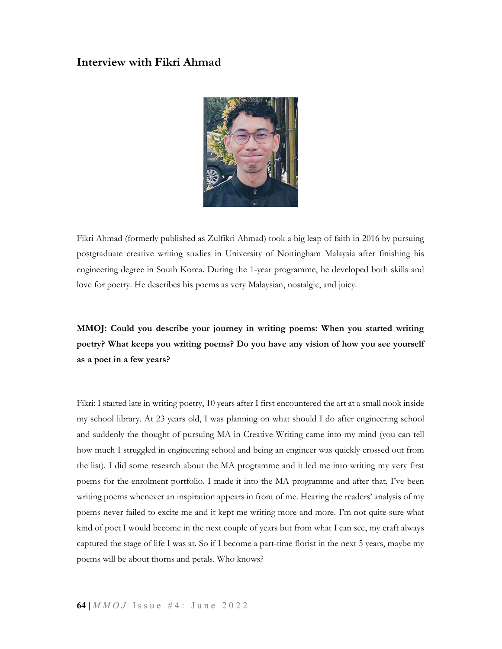# Interview with Fikri Ahmad



Fikri Ahmad (formerly published as Zulfikri Ahmad) took a big leap of faith in 2016 by pursuing postgraduate creative writing studies in University of Nottingham Malaysia after finishing his engineering degree in South Korea. During the 1-year programme, he developed both skills and love for poetry. He describes his poems as very Malaysian, nostalgic, and juicy.

# MMOJ: Could you describe your journey in writing poems: When you started writing poetry? What keeps you writing poems? Do you have any vision of how you see yourself as a poet in a few years?

Fikri: I started late in writing poetry, 10 years after I first encountered the art at a small nook inside my school library. At 23 years old, I was planning on what should I do after engineering school and suddenly the thought of pursuing MA in Creative Writing came into my mind (you can tell how much I struggled in engineering school and being an engineer was quickly crossed out from the list). I did some research about the MA programme and it led me into writing my very first poems for the enrolment portfolio. I made it into the MA programme and after that, I've been writing poems whenever an inspiration appears in front of me. Hearing the readers' analysis of my poems never failed to excite me and it kept me writing more and more. I'm not quite sure what kind of poet I would become in the next couple of years but from what I can see, my craft always captured the stage of life I was at. So if I become a part-time florist in the next 5 years, maybe my poems will be about thorns and petals. Who knows?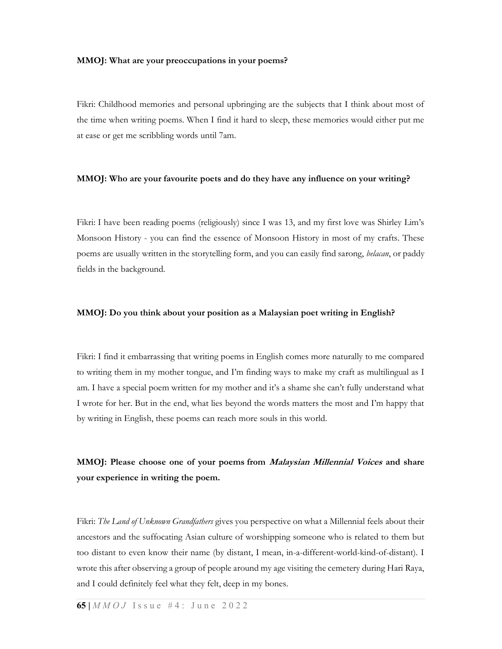#### MMOJ: What are your preoccupations in your poems?

Fikri: Childhood memories and personal upbringing are the subjects that I think about most of the time when writing poems. When I find it hard to sleep, these memories would either put me at ease or get me scribbling words until 7am.

#### MMOJ: Who are your favourite poets and do they have any influence on your writing?

Fikri: I have been reading poems (religiously) since I was 13, and my first love was Shirley Lim's Monsoon History - you can find the essence of Monsoon History in most of my crafts. These poems are usually written in the storytelling form, and you can easily find sarong, *belacan*, or paddy fields in the background.

#### MMOJ: Do you think about your position as a Malaysian poet writing in English?

Fikri: I find it embarrassing that writing poems in English comes more naturally to me compared to writing them in my mother tongue, and I'm finding ways to make my craft as multilingual as I am. I have a special poem written for my mother and it's a shame she can't fully understand what I wrote for her. But in the end, what lies beyond the words matters the most and I'm happy that by writing in English, these poems can reach more souls in this world.

### MMOJ: Please choose one of your poems from *Malaysian Millennial Voices* and share your experience in writing the poem.

Fikri: The Land of Unknown Grandfathers gives you perspective on what a Millennial feels about their ancestors and the suffocating Asian culture of worshipping someone who is related to them but too distant to even know their name (by distant, I mean, in-a-different-world-kind-of-distant). I wrote this after observing a group of people around my age visiting the cemetery during Hari Raya, and I could definitely feel what they felt, deep in my bones.